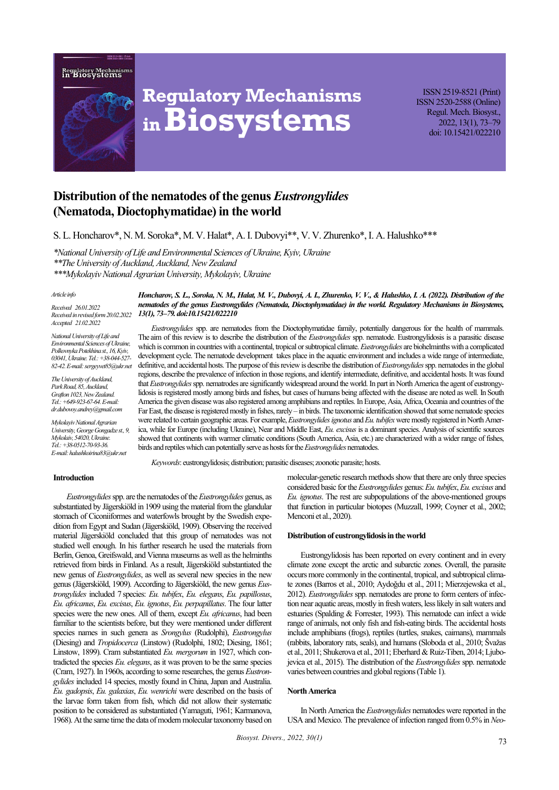



# **Regulatory Mechanisms inBiosystems**

ISSN 2519-8521 (Print) ISSN 2520-2588 (Online) Regul. Mech. Biosyst., 2022, 13(1), 73–79 doi: 10.15421/022210

# **Distribution of the nematodes of the genus** *Eustrongylides* **(Nematoda, Dioctophymatidae) in the world**

S. L. Honcharov\*, N. M. Soroka\*, M. V. Halat\*, A. I. Dubovyi\*\*, V. V. Zhurenko\*, I. A. Halushko\*\*\*

*\*National University of Life and Environmental Sciences of Ukraine, Kyiv, Ukraine \*\*The University of Auckland, Auckland, New Zealand \*\*\*Mykolayiv National Agrarian University, Mykolayiv, Ukraine* 

#### *Article info*

*Received 26.01.2022 Received in revised form 20.02.2022 Accepted 21.02.2022*

*National University of Life and Environmental Sciences of Ukraine, Polkovnyka Potekhina st., 16, Kyiv, 03041, Ukraine. Tel.: +38-044-527- 82-42. E-mail: sergeyvet85@ukr.net*

*The University of Auckland, Park Road, 85, Auckland, Grafton 1023, New Zealand. Tel.: +649-923-67-64. E-mail: dr.dubovoy.andrey@gmail.com*

*Mykolayiv National Agrarian University, George Gongadze st., 9, Mykolaiv, 54020, Ukraine. Tel.: +38-0512-70-93-36. E-mail: halushkoirina83@ukr.net*

*Honcharov, S. L., Soroka, N. M., Halat, M. V., Dubovyi, A. L., Zhurenko, V. V., & Halushko, I. A. (2022). Distribution of the nematodes of the genus Eustrongylides (Nematoda, Dioctophymatidae) in the world. Regulatory Mechanisms in Biosystems, 13(1), 73–79. doi:10.15421/022210* 

*Eustrongylides* spp. are nematodes from the Dioctophymatidae family, potentially dangerous for the health of mammals. The aim of this review is to describe the distribution of the *Eustrongylides* spp. nematode. Eustrongylidosis is a parasitic disease which is common in countries with a continental, tropical or subtropical climate. *Eustrongylides* are biohelminths with a complicated development cycle. The nematode development takes place in the aquatic environment and includes a wide range of intermediate, definitive, and accidental hosts. The purpose of this review is describe the distribution of *Eustrongylides*spp. nematodes in the global regions, describe the prevalence of infection in those regions, and identify intermediate, definitive, and accidental hosts. It was found that *Eustrongylides*spp. nematrodes are significantly widespread around the world. In part in North America the agent of eustrongylidosis is registered mostly among birds and fishes, but cases of humans being affected with the disease are noted as well. In South America the given disease was also registered among amphibians and reptiles. In Europe, Asia, Africa, Oceania and countries of the Far East, the disease is registered mostly in fishes, rarely – in birds. The taxonomic identification showed that some nematode species were related to certain geographic areas. For example, *Eustrongylides ignotus* and *Eu. tubifex*were mostly registered in North America, while for Europe (including Ukraine), Near and Middle East, *Eu. еxcisus* is a dominant species. Analysis of scientific sources showed that continents with warmer climatic conditions (South America, Asia, etc.) are characterized with a wider range of fishes, birds and reptiles which can potentially serve as hosts forthe *Eustrongylides* nematodes.

*Keywords*: eustrongylidosis; distribution; parasitic diseases; zoonotic parasite; hosts.

#### **Introduction**

*Eustrongylides*spp. are the nematodes of the *Eustrongylides* genus, as substantiated by Jägerskiöld in 1909 using the material from the glandular stomach of Ciconiiformes and waterfowls brought by the Swedish expedition from Egypt and Sudan (Jägerskiöld, 1909). Observing the received material Jägerskiöld concluded that this group of nematodes was not studied well enough. In his further research he used the materials from Berlin, Genoa, Greifswald, and Vienna museums as well as the helminths retrieved from birds in Finland. As a result, Jägerskiöld substantiated the new genus of *Eustrongylides*, as well as several new species in the new genus (Jägerskiöld, 1909). According to Jägerskiöld, the new genus *Eustrongylides* included 7 species: *Eu. tubifex*, *Eu. elegans*, *Eu. papillosus*, *Eu. africanus*, *Eu. excisus*, *Eu. ignotus*, *Eu. perpapillatus*. The four latter species were the new ones. All of them, except *Eu. africanus*, had been familiar to the scientists before, but they were mentioned under different species names in such genera as *Srongylus* (Rudolphi), *Eustrongylus* (Diesing) and *Tropidocerca* (Linstow) (Rudolphi, 1802; Diesing, 1861; Linstow, 1899). Cram substantiated *Eu. mergorum* in 1927, which contradicted the species *Eu. elegans*, as it was proven to be the same species (Cram, 1927).In 1960s, according to some researches, the genus *Eustrongylides* included 14 species, mostly found in China, Japan and Australia. *Eu. gadopsis*, *Eu. galaxias*, *Eu. wenrichi* were described on the basis of the larvae form taken from fish, which did not allow their systematic position to be considered as substantiated (Yamaguti, 1961; Karmanova, 1968). At the same time the data of modern molecular taxonomy based on molecular-genetic research methods show that there are only three species considered basic for the *Eustrongylides* genus: *Eu. tubifex*, *Eu. excisus* and *Eu. ignotus*. The rest are subpopulations of the above-mentioned groups that function in particular biotopes (Muzzall, 1999; Coyner et al., 2002; Menconi et al., 2020).

#### **Distribution of eustrongylidosis in the world**

Eustrongylidosis has been reported on every continent and in every climate zone except the arctic and subarctic zones. Overall, the parasite occurs more commonly in the continental, tropical, and subtropical climate zones (Barros et al., 2010; Aydoğdu et al., 2011; Mierzejewska et al., 2012). *Eustrongylides* spp. nematodes are prone to form centers of infection near aquatic areas, mostly in fresh waters, less likely in salt waters and estuaries (Spalding & Forrester, 1993). This nematode can infect a wide range of animals, not only fish and fish-eating birds. The accidental hosts include amphibians (frogs), reptiles (turtles, snakes, caimans), mammals (rabbits, laboratory rats, seals), and humans (Sloboda et al., 2010; Švažas et al., 2011; Shukerova et al., 2011; Eberhard & Ruiz-Tiben, 2014; Ljubojevica et al., 2015). The distribution of the *Eustrongylides* spp. nematode varies between countries and global regions (Table 1).

# **North America**

In North America the *Eustrongylides* nematodes were reported in the USA and Mexico. The prevalence of infection ranged from 0.5% in *Neo-*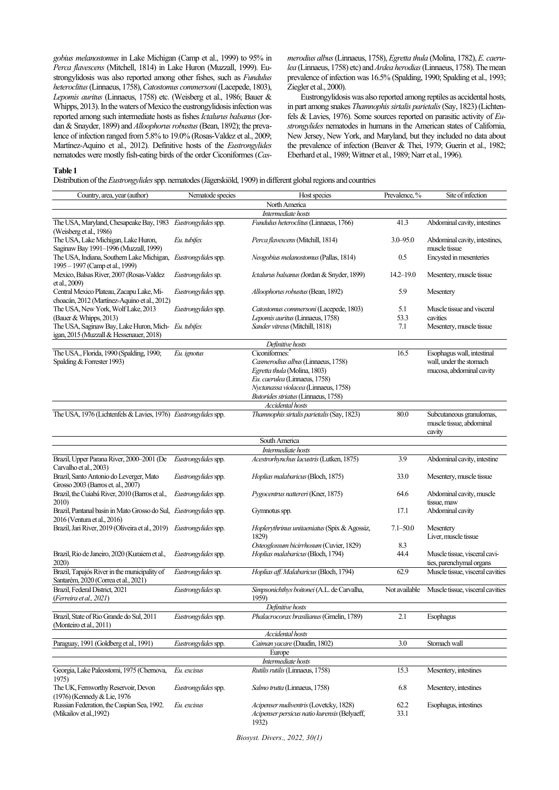*gobius melanostomus* in Lake Michigan (Camp et al., 1999) to 95% in *Perca flavescens* (Mitchell, 1814) in Lake Huron (Muzzall, 1999). Eustrongylidosis was also reported among other fishes, such as *Fundulus heteroclitus*(Linnaeus, 1758), *Catostomus commersoni*(Lacepede, 1803), *Lepomis auritus* (Linnaeus, 1758) etc. (Weisberg et al., 1986; Bauer & Whipps, 2013). In the waters of Mexico the eustrongylidosis infection was reported among such intermediate hosts as fishes *Ictalurus balsanus*(Jordan & Snayder, 1899) and *Alloophorus robustus*(Bean, 1892); the prevalence of infection ranged from 5.8% to 19.0% (Rosas-Valdez et al., 2009; Martínez-Aquino et al., 2012). Definitive hosts of the *Eustrongylides* nematodes were mostly fish-eating birds of the order Ciconiformes (*Cas-*

*merodius albus*(Linnaeus, 1758), *Egretta thula* (Molina, 1782), *E. caerulea* (Linnaeus, 1758) etc) and *Ardea herodias*(Linnaeus, 1758). The mean prevalence of infection was 16.5% (Spalding, 1990; Spalding et al., 1993; Ziegler et al., 2000).

Eustrongylidosis was also reported among reptiles as accidental hosts, in part among snakes *Thamnophis sirtalis parietalis*(Say, 1823) (Lichtenfels & Lavies, 1976). Some sources reported on parasitic activity of *Eustrongylides* nematodes in humans in the American states of California, New Jersey, New York, and Maryland, but they included no data about the prevalence of infection (Beaver & Thei, 1979; Guerin et al., 1982; Eberhard et al., 1989; Wittner et al., 1989; Narr et al., 1996).

## **Table 1**

Distribution of the *Eustrongylides* spp. nematodes (Jägerskiöld, 1909) in different global regions and countries

| Country, area, year (author)                                                                     | Nematode species           | Host species                                                                                    | Prevalence, % | Site of infection                                              |
|--------------------------------------------------------------------------------------------------|----------------------------|-------------------------------------------------------------------------------------------------|---------------|----------------------------------------------------------------|
|                                                                                                  |                            | North America                                                                                   |               |                                                                |
|                                                                                                  |                            | Intermediate hosts                                                                              |               |                                                                |
| The USA, Maryland, Chesapeake Bay, 1983 Eustrongylides spp.<br>(Weisberg et al., 1986)           |                            | Fundulus heteroclitus (Linnaeus, 1766)                                                          | 41.3          | Abdominal cavity, intestines                                   |
| The USA, Lake Michigan, Lake Huron,<br>Saginaw Bay 1991-1996 (Muzzall, 1999)                     | Eu. tubifex                | Perca flavescens (Mitchill, 1814)                                                               | $3.0 - 95.0$  | Abdominal cavity, intestines,<br>muscle tissue                 |
| The USA, Indiana, Southern Lake Michigan, Eustrongylides spp.<br>1995 - 1997 (Camp et al., 1999) |                            | Neogobius melanostomus (Pallas, 1814)                                                           | 0.5           | Encysted in mesenteries                                        |
| Mexico, Balsas River, 2007 (Rosas-Valdez<br>et al., 2009)                                        | Eustrongylides sp.         | Ictalurus balsanus (Jordan & Snyder, 1899)                                                      | $14.2 - 19.0$ | Mesentery, muscle tissue                                       |
| Central Mexico Plateau, Zacapu Lake, Mi-<br>choacán, 2012 (Martínez-Aquino et al., 2012)         | <i>Eustrongylides</i> spp. | Alloophorus robustus (Bean, 1892)                                                               | 5.9           | Mesentery                                                      |
| The USA, New York, Wolf Lake, 2013<br>(Bauer & Whipps, 2013)                                     | <i>Eustrongylides</i> spp. | Catostomus commersoni (Lacepede, 1803)<br>Lepomis auritus (Linnaeus, 1758)                      | 5.1<br>53.3   | Muscle tissue and visceral<br>cavities                         |
| The USA, Saginaw Bay, Lake Huron, Mich- Eu. tubifex                                              |                            | Sander vitreus (Mitchill, 1818)                                                                 | 7.1           | Mesentery, muscle tissue                                       |
| igan, 2015 (Muzzall & Hessenauer, 2018)                                                          |                            |                                                                                                 |               |                                                                |
|                                                                                                  |                            | Definitive hosts                                                                                |               |                                                                |
| The USA., Florida, 1990 (Spalding, 1990;                                                         | Eu. ignotus                | Ciconiformes:                                                                                   | 16.5          | Esophagus wall, intestinal                                     |
| Spalding & Forrester 1993)                                                                       |                            | Casmerodius albus (Linnaeus, 1758)                                                              |               | wall, under the stomach                                        |
|                                                                                                  |                            | Egretta thula (Molina, 1803)                                                                    |               | mucosa, abdominal cavity                                       |
|                                                                                                  |                            | Eu. caerulea (Linnaeus, 1758)                                                                   |               |                                                                |
|                                                                                                  |                            |                                                                                                 |               |                                                                |
|                                                                                                  |                            | Nyctanassa violacea (Linnaeus, 1758)                                                            |               |                                                                |
|                                                                                                  |                            | Butorides striatus (Linnaeus, 1758)                                                             |               |                                                                |
|                                                                                                  |                            | <b>Accidental</b> hosts                                                                         |               |                                                                |
| The USA, 1976 (Lichtenfels & Lavies, 1976) Eustrongylides spp.                                   |                            | Thamnophis sirtalis parietalis (Say, 1823)                                                      | 80.0          | Subcutaneous granulomas,<br>muscle tissue, abdominal<br>cavity |
|                                                                                                  |                            | South America                                                                                   |               |                                                                |
|                                                                                                  |                            | Intermediate hosts                                                                              |               |                                                                |
| Brazil, Upper Parana River, 2000-2001 (De<br>Carvalho et al., 2003)                              | Eustrongylides spp.        | Acestrorhynchus lacustris (Lutken, 1875)                                                        | 3.9           | Abdominal cavity, intestine                                    |
| Brazil, Santo Antonio do Leverger, Mato<br>Grosso 2003 (Barros et. al., 2007)                    | <i>Eustrongylides</i> spp. | <i>Hoplias malabaricus</i> (Bloch, 1875)                                                        | 33.0          | Mesentery, muscle tissue                                       |
| Brazil, the Cuiabá River, 2010 (Barros et al.,<br>2010)                                          | Eustrongylides spp.        | Pygocentrus nattereri (Kner, 1875)                                                              | 64.6          | Abdominal cavity, muscle<br>tissue, maw                        |
| Brazil, Pantanal basin in Mato Grosso do Sul, Eustrongylides spp.<br>2016 (Ventura et al., 2016) |                            | Gymnotus spp.                                                                                   | 17.1          | Abdominal cavity                                               |
| Brazil, Jari River, 2019 (Oliveira et al., 2019) Eustrongylides spp.                             |                            | Hoplerythrinus unitaeniatus (Spix & Agossiz,<br>1829)                                           | $7.1 - 50.0$  | Mesentery<br>Liver, muscle tissue                              |
|                                                                                                  |                            | Osteoglossum bicirrhosum (Cuvier, 1829)                                                         | 8.3           |                                                                |
| Brazil, Rio de Janeiro, 2020 (Kuraiem et al.,<br>2020)                                           | Eustrongylides spp.        | Hoplias malabaricus (Bloch, 1794)                                                               | 44.4          | Muscle tissue, visceral cavi-<br>ties, parenchymal organs      |
| Brazil, Tapajós River in the municipality of<br>Santarém, 2020 (Correa et al., 2021)             | Eustrongylides sp.         | Hoplias aff. Malabaricus (Bloch, 1794)                                                          | 62.9          | Muscle tissue, visceral cavities                               |
| Brazil, Federal District, 2021<br>(Ferreira et al., 2021)                                        | Eustrongylides sp.         | Simpsonichthys boitonei (A.L. de Carvalha,<br>1959)                                             | Not available | Muscle tissue, visceral cavities                               |
|                                                                                                  |                            | Definitive hosts                                                                                |               |                                                                |
| Brazil, State of Rio Grande do Sul, 2011<br>(Monteiro et al., 2011)                              | Eustrongylides spp.        | Phalacrocorax brasilianus (Gmelin, 1789)                                                        | 2.1           | Esophagus                                                      |
|                                                                                                  |                            | Accidental hosts                                                                                |               |                                                                |
| Paraguay, 1991 (Goldberg et al., 1991)                                                           | Eustrongylides spp.        | Caiman yacare (Daudin, 1802)                                                                    | $3.0\,$       | Stomach wall                                                   |
|                                                                                                  |                            | Europe                                                                                          |               |                                                                |
|                                                                                                  |                            | Intermediate hosts                                                                              |               |                                                                |
| Georgia, Lake Paleostomi, 1975 (Chernova,<br>1975)                                               | Eu. excisus                | Rutilis rutilis (Linnaeus, 1758)                                                                | 15.3          | Mesentery, intestines                                          |
| The UK, Fernworthy Reservoir, Devon<br>(1976) (Kennedy & Lie, 1976)                              | Eustrongylides spp.        | Salmo trutta (Linnaeus, 1758)                                                                   | 6.8           | Mesentery, intestines                                          |
| Russian Federation, the Caspian Sea, 1992.<br>(Mikailov et al., 1992)                            | Eu. excisus                | Acipenser nudiventris (Lovetcky, 1828)<br>Acipenser persicus natio kurensis (Belyaeff,<br>1932) | 62.2<br>33.1  | Esophagus, intestines                                          |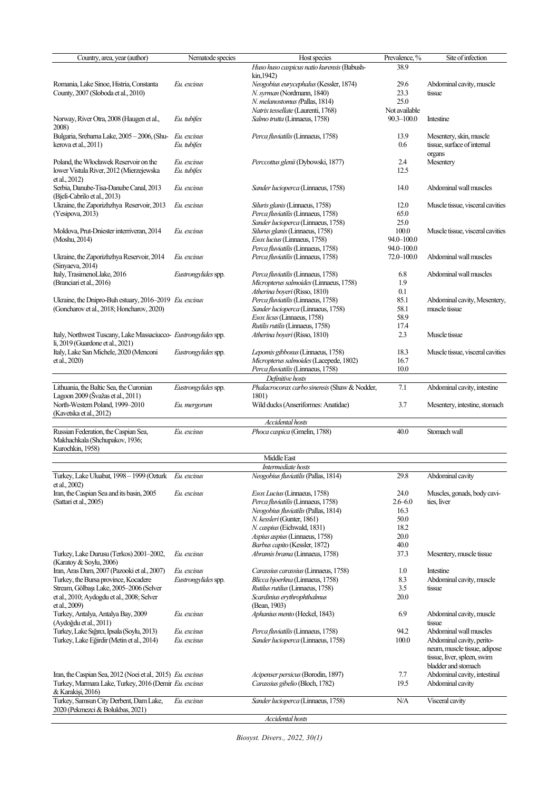| Country, area, year (author)                                    | Nematode species    | Host species                                 | Prevalence, %  | Site of infection                |
|-----------------------------------------------------------------|---------------------|----------------------------------------------|----------------|----------------------------------|
|                                                                 |                     | Huso huso caspicus natio kurensis (Babush-   | 38.9           |                                  |
|                                                                 |                     | kin, 1942)                                   |                |                                  |
| Romania, Lake Sinoe, Histria, Constanta                         | Eu. excisus         | Neogobius eurycephalus (Kessler, 1874)       | 29.6           | Abdominal cavity, muscle         |
| County, 2007 (Sloboda et al., 2010)                             |                     | N. syrman (Nordmann, 1840)                   | 23.3           | tissue                           |
|                                                                 |                     |                                              |                |                                  |
|                                                                 |                     | N. melanostomus (Pallas, 1814)               | 25.0           |                                  |
|                                                                 |                     | Natrix tessellate (Laurenti, 1768)           | Not available  |                                  |
| Norway, River Otra, 2008 (Haugen et al.,                        | Eu. tubifex         | Salmo trutta (Linnaeus, 1758)                | $90.3 - 100.0$ | Intestine                        |
| 2008)                                                           |                     |                                              |                |                                  |
| Bulgaria, Srebarna Lake, 2005 - 2006, (Shu-                     | Eu. excisus         | Perca fluviatilis (Linnaeus, 1758)           | 13.9           | Mesentery, skin, muscle          |
| kerova et al., 2011)                                            | Eu. tubifex         |                                              | 0.6            | tissue, surface of internal      |
|                                                                 |                     |                                              |                | organs                           |
| Poland, the Włocławek Reservoir on the                          | Eu. excisus         | Perccottus glenii (Dybowski, 1877)           | 2.4            | Mesentery                        |
| lower Vistula River, 2012 (Mierzejewska                         | Eu. tubifex         |                                              | 12.5           |                                  |
|                                                                 |                     |                                              |                |                                  |
| et al., 2012)                                                   |                     |                                              |                |                                  |
| Serbia, Danube-Tisa-Danube Canal, 2013                          | Eu. excisus         | Sander lucioperca (Linnaeus, 1758)           | 14.0           | Abdominal wall muscles           |
| (Bjeli-Cabrilo et al., 2013)                                    |                     |                                              |                |                                  |
| Ukraine, the Zaporizhzhya Reservoir, 2013                       | Eu. excisus         | Siluris glanis (Linnaeus, 1758)              | 12.0           | Muscle tissue, visceral cavities |
| (Yesipova, 2013)                                                |                     | Perca fluviatilis (Linnaeus, 1758)           | 65.0           |                                  |
|                                                                 |                     | Sander lucioperca (Linnaeus, 1758)           | 25.0           |                                  |
| Moldova, Prut-Dniester interriveran, 2014                       | Eu. excisus         | Silurus glanis (Linnaeus, 1758)              | 100.0          | Muscle tissue, visceral cavities |
| (Moshu, 2014)                                                   |                     | Esox lucius (Linnaeus, 1758)                 | 94.0-100.0     |                                  |
|                                                                 |                     | Perca fluviatilis (Linnaeus, 1758)           | 94.0-100.0     |                                  |
| Ukraine, the Zaporizhzhya Reservoir, 2014                       | Eu. excisus         | Perca fluviatilis (Linnaeus, 1758)           | $72.0 - 100.0$ | Abdominal wall muscles           |
| (Sinyaeva, 2014)                                                |                     |                                              |                |                                  |
| Italy, TrasimenoLlake, 2016                                     |                     |                                              |                | Abdominal wall muscles           |
|                                                                 | Eustrongylides spp. | Perca fluviatilis (Linnaeus, 1758)           | 6.8            |                                  |
| (Branciari et al., 2016)                                        |                     | Micropterus salmoides (Linnaeus, 1758)       | 1.9            |                                  |
|                                                                 |                     | Atherina boyeri (Risso, 1810)                | 0.1            |                                  |
| Ukraine, the Dnipro-Buh estuary, 2016-2019 Eu. excisus          |                     | Perca fluviatilis (Linnaeus, 1758)           | 85.1           | Abdominal cavity, Mesentery,     |
| (Goncharov et al., 2018; Honcharov, 2020)                       |                     | Sander lucioperca (Linnaeus, 1758)           | 58.1           | muscle tissue                    |
|                                                                 |                     | Esox licus (Linnaeus, 1758)                  | 58.9           |                                  |
|                                                                 |                     | Rutilis rutilis (Linnaeus, 1758)             | 17.4           |                                  |
| Italy, Northwest Tuscany, Lake Massaciucco- Eustrongylides spp. |                     | Atherina boyeri (Risso, 1810)                | 2.3            | Muscle tissue                    |
| li, 2019 (Guardone et al., 2021)                                |                     |                                              |                |                                  |
| Italy, Lake San Michele, 2020 (Menconi                          | Eustrongylides spp. | Lepomis gibbosus (Linnaeus, 1758)            | 18.3           | Muscle tissue, visceral cavities |
| et al., 2020)                                                   |                     | Micropterus salmoides (Lacepede, 1802)       | 16.7           |                                  |
|                                                                 |                     | Perca fluviatilis (Linnaeus, 1758)           | 10.0           |                                  |
|                                                                 |                     | Definitive hosts                             |                |                                  |
|                                                                 |                     |                                              |                |                                  |
| Lithuania, the Baltic Sea, the Curonian                         | Eustrongylides spp. | Phalacrocorax carbo sinensis (Shaw & Nodder, | 7.1            | Abdominal cavity, intestine      |
| Lagoon 2009 (Švažas et al., 2011)                               |                     | 1801)                                        |                |                                  |
| North-Western Poland, 1999-2010                                 | Eu. mergorum        | Wild ducks (Anseriformes: Anatidae)          | 3.7            | Mesentery, intestine, stomach    |
| (Kavetska et al., 2012)                                         |                     |                                              |                |                                  |
|                                                                 |                     | <b>Accidental</b> hosts                      |                |                                  |
| Russian Federation, the Caspian Sea,                            | Eu. excisus         | Phoca caspica (Gmelin, 1788)                 | 40.0           | Stomach wall                     |
| Makhachkala (Shchupakov, 1936;                                  |                     |                                              |                |                                  |
| Kurochkin, 1958)                                                |                     |                                              |                |                                  |
|                                                                 |                     | Middle East                                  |                |                                  |
|                                                                 |                     | Intermediate hosts                           |                |                                  |
| Turkey, Lake Uluabat, 1998 - 1999 (Ozturk Eu. excisus           |                     | Neogobius fluviatilis (Pallas, 1814)         | 29.8           | Abdominal cavity                 |
| et al., 2002)                                                   |                     |                                              |                |                                  |
| Iran, the Caspian Sea and its basin, 2005                       | Eu. excisus         | <i>Esox Lucius</i> (Linnaeus, 1758)          | 24.0           | Muscles, gonads, body cavi-      |
| (Sattari et al., 2005)                                          |                     | Perca fluviatilis (Linnaeus, 1758)           | $2.6 - 6.0$    | ties, liver                      |
|                                                                 |                     | Neogobius fluviatilis (Pallas, 1814)         |                |                                  |
|                                                                 |                     | N. kessleri (Gunter, 1861)                   | 16.3           |                                  |
|                                                                 |                     |                                              | 50.0           |                                  |
|                                                                 |                     | N. caspius (Eichwald, 1831)                  | 18.2           |                                  |
|                                                                 |                     | Aspius aspius (Linnaeus, 1758)               | 20.0           |                                  |
|                                                                 |                     | Barbus capito (Kessler, 1872)                | 40.0           |                                  |
| Turkey, Lake Durusu (Terkos) 2001-2002,                         | Eu. excisus         | Abramis brama (Linnaeus, 1758)               | 37.3           | Mesentery, muscle tissue         |
| (Karatoy & Soylu, 2006)                                         |                     |                                              |                |                                  |
| Iran, Aras Dam, 2007 (Pazooki et al., 2007)                     | Eu. excisus         | Carassius carassius (Linnaeus, 1758)         | 1.0            | Intestine                        |
| Turkey, the Bursa province, Kocadere                            | Eustrongylides spp. | Blicca bjoerkna (Linnaeus, 1758)             | 8.3            | Abdominal cavity, muscle         |
| Stream, Gölbaşı Lake, 2005-2006 (Selver                         |                     | Rutilus rutilus (Linnaeus, 1758)             | 3.5            | tissue                           |
| et al., 2010; Aydogdu et al., 2008; Selver                      |                     | Scardinius erythrophthalmus                  | 20.0           |                                  |
| et al., 2009)                                                   |                     | (Bean, 1903)                                 |                |                                  |
| Turkey, Antalya, Antalya Bay, 2009                              | Eu. excisus         | Aphanius mento (Heckel, 1843)                | 6.9            | Abdominal cavity, muscle         |
| (Aydoğdu et al., 2011)                                          |                     |                                              |                | tissue                           |
| Turkey, Lake Sığırcı, Ipsala (Soylu, 2013)                      | Eu. excisus         | Perca fluviatilis (Linnaeus, 1758)           | 94.2           | Abdominal wall muscles           |
|                                                                 |                     |                                              |                |                                  |
| Turkey, Lake Eğirdir (Metin et al., 2014)                       | Eu. excisus         | Sander lucioperca (Linnaeus, 1758)           | 100.0          | Abdominal cavity, perito-        |
|                                                                 |                     |                                              |                | neum, muscle tissue, adipose     |
|                                                                 |                     |                                              |                | tissue, liver, spleen, swim      |
|                                                                 |                     |                                              |                | bladder and stomach              |
| Iran, the Caspian Sea, 2012 (Noei et al., 2015) Eu. excisus     |                     | Acipenser persicus (Borodin, 1897)           | 7.7            | Abdominal cavity, intestinal     |
| Turkey, Marmara Lake, Turkey, 2016 (Demir Eu. excisus           |                     | Carassius gibelio (Bloch, 1782)              | 19.5           | Abdominal cavity                 |
| & Karakişi, 2016)                                               |                     |                                              |                |                                  |
| Turkey, Samsun City Derbent, Dam Lake,                          | Eu. excisus         | Sander lucioperca (Linnaeus, 1758)           | N/A            | Visceral cavity                  |
| 2020 (Pekmezci & Bolukbas, 2021)                                |                     |                                              |                |                                  |
|                                                                 |                     | Accidental hosts                             |                |                                  |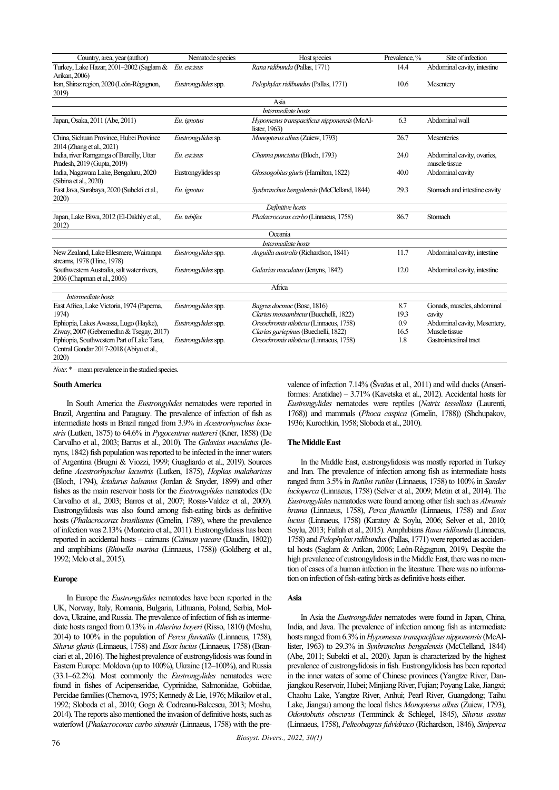|                                            |                     |                                             | Prevalence, % | Site of infection            |  |  |  |
|--------------------------------------------|---------------------|---------------------------------------------|---------------|------------------------------|--|--|--|
| Country, area, year (author)               | Nematode species    | Host species                                |               |                              |  |  |  |
| Turkey, Lake Hazar, 2001-2002 (Saglam &    | Eu. excisus         | Rana ridibunda (Pallas, 1771)               | 14.4          | Abdominal cavity, intestine  |  |  |  |
| Arikan, 2006)                              |                     |                                             |               |                              |  |  |  |
| Iran, Shiraz region, 2020 (León-Règagnon,  | Eustrongylides spp. | Pelophylax ridibundus (Pallas, 1771)        | 10.6          | Mesentery                    |  |  |  |
| 2019)                                      |                     |                                             |               |                              |  |  |  |
| Asia                                       |                     |                                             |               |                              |  |  |  |
| Intermediate hosts                         |                     |                                             |               |                              |  |  |  |
| Japan, Osaka, 2011 (Abe, 2011)             | Eu. ignotus         | Hypomesus transpacificus nipponensis (McAl- | 6.3           | Abdominal wall               |  |  |  |
|                                            |                     | lister, 1963)                               |               |                              |  |  |  |
| China, Sichuan Province, Hubei Province    | Eustrongylides sp.  | Monopterus albus (Zuiew, 1793)              | 26.7          | Mesenteries                  |  |  |  |
| 2014 (Zhang et al., 2021)                  |                     |                                             |               |                              |  |  |  |
| India, river Ramganga of Bareilly, Uttar   | Eu, excisus         | Channa punctatus (Bloch, 1793)              | 24.0          | Abdominal cavity, ovaries,   |  |  |  |
| Pradesh, 2019 (Gupta, 2019)                |                     |                                             |               | muscle tissue                |  |  |  |
| India, Nagawara Lake, Bengaluru, 2020      | Eustrongylides sp   | Glossogobius giuris (Hamilton, 1822)        | 40.0          | Abdominal cavity             |  |  |  |
| (Sibina et al., 2020)                      |                     |                                             |               |                              |  |  |  |
| East Java, Surabaya, 2020 (Subekti et al., | Eu ignotus          | Synbranchus bengalensis (McClelland, 1844)  | 29.3          | Stomach and intestine cavity |  |  |  |
| 2020                                       |                     |                                             |               |                              |  |  |  |
| Definitive hosts                           |                     |                                             |               |                              |  |  |  |
| Japan, Lake Biwa, 2012 (El-Dakhly et al.,  | Eu. tubifex         | Phalacrocorax carbo (Linnaeus, 1758)        | 86.7          | Stomach                      |  |  |  |
| 2012)                                      |                     |                                             |               |                              |  |  |  |
|                                            |                     | Oceania                                     |               |                              |  |  |  |
|                                            |                     | Intermediate hosts                          |               |                              |  |  |  |
| New Zealand, Lake Ellesmere, Wairarapa     | Eustrongylides spp. | Anguilla australis (Richardson, 1841)       | 11.7          | Abdominal cavity, intestine  |  |  |  |
| streams, 1978 (Hine, 1978)                 |                     |                                             |               |                              |  |  |  |
| Southwestern Australia, salt water rivers, | Eustrongylides spp. | Galaxias maculatus (Jenyns, 1842)           | 12.0          | Abdominal cavity, intestine  |  |  |  |
| 2006 (Chapman et al., 2006)                |                     |                                             |               |                              |  |  |  |
|                                            |                     | Africa                                      |               |                              |  |  |  |
| Intermediate hosts                         |                     |                                             |               |                              |  |  |  |
| East Africa, Lake Victoria, 1974 (Paperna, | Eustrongylides spp. | Bagrus docmac (Bosc, 1816)                  | 8.7           | Gonads, muscles, abdominal   |  |  |  |
| 1974)                                      |                     | Clarias mossambicus (Buechelli, 1822)       | 19.3          | cavity                       |  |  |  |
| Ephiopia, Lakes Awassa, Lugo (Hayke),      | Eustrongylides spp. | Oreochromis niloticus (Linnaeus, 1758)      | 0.9           | Abdominal cavity, Mesentery, |  |  |  |
| Ziway, 2007 (Gebremedhn & Tsegay, 2017)    |                     | Clarias gariepinus (Buechelli, 1822)        | 16.5          | Muscle tissue                |  |  |  |
| Ephiopia, Southwestern Part of Lake Tana,  | Eustrongylides spp. | Oreochromis niloticus (Linnaeus, 1758)      | 1.8           | Gastrointestinal tract       |  |  |  |
| Central Gondar 2017-2018 (Abiyu et al.,    |                     |                                             |               |                              |  |  |  |
| 2020)                                      |                     |                                             |               |                              |  |  |  |
|                                            |                     |                                             |               |                              |  |  |  |

*Note*: \*–mean prevalence in the studied species.

## **South America**

In South America the *Eustrongylides* nematodes were reported in Brazil, Argentina and Paraguay. The prevalence of infection of fish as intermediate hosts in Brazil ranged from 3.9% in *Acestrorhynchus lacustris* (Lutken, 1875) to 64.6% in *Pygocentrus nattereri* (Kner, 1858) (De Carvalho et al., 2003; Barros et al., 2010). The *Galaxias maculatus* (Jenyns, 1842) fish population was reported to be infected in the inner waters of Argentina (Brugni & Viozzi, 1999; Guagliardo et al., 2019). Sources define *Acestrorhynchus lacustris* (Lutken, 1875), *Hoplias malabaricus* (Bloch, 1794), *Ictalurus balsanus* (Jordan & Snyder, 1899) and other fishes as the main reservoir hosts for the *Eustrongylides* nematodes (De Carvalho et al., 2003; Barros et al., 2007; Rosas-Valdez et al., 2009). Eustrongylidosis was also found among fish-eating birds as definitive hosts (*Phalacrocorax brasilianus* (Gmelin, 1789), where the prevalence of infection was 2.13% (Monteiro et al., 2011). Eustrongylidosis has been reported in accidental hosts – caimans (*Caiman yacare* (Daudin, 1802)) and amphibians (*Rhinella marina* (Linnaeus, 1758)) (Goldberg et al., 1992; Melo et al., 2015).

#### **Europe**

In Europe the *Eustrongylides* nematodes have been reported in the UK, Norway, Italy, Romania, Bulgaria, Lithuania, Poland, Serbia, Moldova, Ukraine, and Russia. The prevalence of infection of fish as intermediate hosts ranged from 0.13% in *Atherina boyeri* (Risso, 1810) (Moshu, 2014) to 100% in the population of *Perca fluviatilis* (Linnaeus, 1758), *Silurus glanis* (Linnaeus, 1758) and *Esox lucius* (Linnaeus, 1758) (Branciari et al., 2016). The highest prevalence of eustrongylidosis was found in Eastern Europe: Moldova (up to 100%), Ukraine (12–100%), and Russia (33.1–62.2%). Most commonly the *Eustrongylides* nematodes were found in fishes of Acipenseridae, Cyprinidae, Salmonidae, Gobiidae, Percidae families (Chernova, 1975; Kennedy & Lie, 1976; Mikailov et al., 1992; Sloboda et al., 2010; Goga & Codreanu-Balcescu, 2013; Moshu, 2014). The reports also mentioned the invasion of definitive hosts, such as waterfowl (*Phalacrocorax carbo sinensis* (Linnaeus, 1758) with the prevalence of infection 7.14% (Švažas et al., 2011) and wild ducks (Anseriformes: Anatidae) – 3.71% (Kavetska et al., 2012). Accidental hosts for *Eustrongylides* nematodes were reptiles (*Natrix tessellata* (Laurenti, 1768)) and mammals (*Phoca caspica* (Gmelin, 1788)) (Shchupakov, 1936; Kurochkin, 1958; Sloboda et al., 2010).

#### **The Middle East**

In the Middle East, eustrongylidosis was mostly reported in Turkey and Iran. The prevalence of infection among fish as intermediate hosts ranged from 3.5% in *Rutilus rutilus* (Linnaeus, 1758) to 100% in *Sander lucioperca* (Linnaeus, 1758) (Selver et al., 2009; Metin et al., 2014). The *Eustrongylides* nematodes were found among other fish such as *Abramis brama* (Linnaeus, 1758), *Perca fluviatilis* (Linnaeus, 1758) and *Esox lucius* (Linnaeus, 1758) (Karatoy & Soylu, 2006; Selver et al., 2010; Soylu, 2013; Fallah et al., 2015). Amphibians *Rana ridibunda* (Linnaeus, 1758) and *Pelophylax ridibundus*(Pallas, 1771) were reported as accidental hosts (Saglam & Arikan, 2006; León-Règagnon, 2019). Despite the high prevalence of eustrongylidosis in the Middle East, there was no mention of cases of a human infection in the literature. There was no information on infection of fish-eating birds as definitive hosts either.

#### **Asia**

In Asia the *Eustrongylides* nematodes were found in Japan, China, India, and Java. The prevalence of infection among fish as intermediate hosts ranged from 6.3% in *Hypomesus transpacificus nipponensis*(McAllister, 1963) to 29.3% in *Synbranchus bengalensis* (McClelland, 1844) (Abe, 2011; Subekti et al., 2020). Japan is characterized by the highest prevalence of eustrongylidosis in fish. Eustrongylidosis has been reported in the inner waters of some of Chinese provinces (Yangtze River, Danjiangkou Reservoir, Hubei; Minjiang River, Fujian; Poyang Lake, Jiangxi; Chaohu Lake, Yangtze River, Anhui; Pearl River, Guangdong; Taihu Lake, Jiangsu) among the local fishes *Monopterus albus* (Zuiew, 1793), *Odontobutis obscurus* (Temminck & Schlegel, 1845), *Silurus asotus* (Linnaeus, 1758), *Pelteobagrus fulvidraco* (Richardson, 1846), *Siniperca*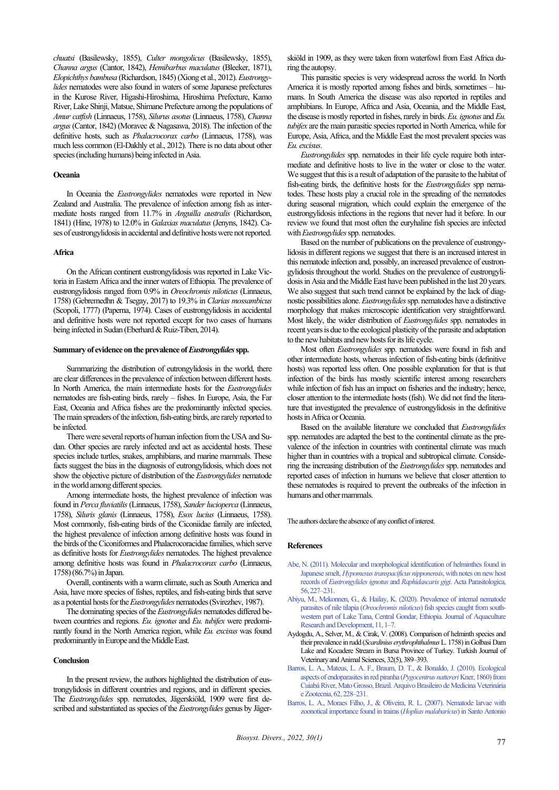*chuatsi* (Basilewsky, 1855), *Culter mongolicus* (Basilewsky, 1855), *Channa argus* (Cantor, 1842), *Hemibarbus maculatus* (Bleeker, 1871), *Elopichthys bambusa* (Richardson, 1845) (Xiong et al., 2012). *Eustrongylides* nematodes were also found in waters of some Japanese prefectures in the Kurose River, Higashi-Hiroshima, Hiroshima Prefecture, Kamo River, Lake Shinji, Matsue, Shimane Prefecture among the populations of *Amur catfish* (Linnaeus, 1758), *Silurus asotus* (Linnaeus, 1758), *Channa argus*(Cantor, 1842) (Moravec & Nagasawa, 2018). The infection of the definitive hosts, such as *Phalacrocorax carbo* (Linnaeus, 1758), was much less common (El-Dakhly et al., 2012). There is no data about other species (including humans) being infected in Asia.

# **Oceania**

In Oceania the *Eustrongylides* nematodes were reported in New Zealand and Australia. The prevalence of infection among fish as intermediate hosts ranged from 11.7% in *Anguilla australis* (Richardson, 1841) (Hine, 1978) to 12.0% in *Galaxias maculatus* (Jenyns, 1842). Cases of eustrongylidosis in accidental and definitive hosts were not reported.

#### **Africa**

On the African continent eustrongylidosis was reported in Lake Victoria in Eastern Africa and the inner waters of Ethiopia. The prevalence of eustrongylidosis ranged from 0.9% in *Oreochromis niloticus* (Linnaeus, 1758) (Gebremedhn & Tsegay, 2017) to 19.3% in *Clarias mossambicus* (Scopoli, 1777) (Paperna, 1974). Cases of eustrongylidosis in accidental and definitive hosts were not reported except for two cases of humans being infected in Sudan (Eberhard & Ruiz-Tiben, 2014).

#### Summary of evidence on the prevalence of *Eustrongylides* spp.

Summarizing the distribution of eutrongylidosis in the world, there are clear differences in the prevalence of infection between different hosts. In North America, the main intermediate hosts for the *Eustrongylides* nematodes are fish-eating birds, rarely – fishes. In Europe, Asia, the Far East, Oceania and Africa fishes are the predominantly infected species. The main spreaders of the infection, fish-eating birds, are rarely reported to be infected.

There were several reports of human infection from the USA and Sudan. Other species are rarely infected and act as accidental hosts. These species include turtles, snakes, amphibians, and marine mammals. These facts suggest the bias in the diagnosis of eutrongylidosis, which does not show the objective picture of distribution of the *Eustrongylides* nematode in the world among different species.

Among intermediate hosts, the highest prevalence of infection was found in *Perca fluviatilis*(Linnaeus, 1758), *Sander lucioperca* (Linnaeus, 1758), *Siluris glanis* (Linnaeus, 1758), *Esox lucius* (Linnaeus, 1758). Most commonly, fish-eating birds of the Ciconiidae family are infected, the highest prevalence of infection among definitive hosts was found in the birds of the Ciconiformes and Phalacrocoracidae families, which serve as definitive hosts for *Eustrongylides* nematodes. The highest prevalence among definitive hosts was found in *Phalacrocorax carbo* (Linnaeus, 1758) (86.7%) in Japan.

Overall, continents with a warm climate, such as South America and Asia, have more species of fishes, reptiles, and fish-eating birds that serve as a potential hosts for the *Eustrongylides* nematodes(Svirezhev, 1987).

The dominating species of the *Eustrongylides* nematodes differed between countries and regions. *Eu. ignotus* and *Eu. tubifex* were predominantly found in the North America region, while *Eu. excisus* was found predominantly in Europe and the Middle East.

# **Conclusion**

In the present review, the authors highlighted the distribution of eustrongylidosis in different countries and regions, and in different species. The *Eustrongylides* spp. nematodes, Jägerskiöld, 1909 were first described and substantiated as species of the *Eustrongylides* genus by Jägerskiöld in 1909, as they were taken from waterfowl from East Africa during the autopsy.

This parasitic species is very widespread across the world. In North America it is mostly reported among fishes and birds, sometimes – humans. In South America the disease was also reported in reptiles and amphibians. In Europe, Africa and Asia, Oceania, and the Middle East, the disease is mostly reported in fishes, rarely in birds. *Eu. ignotus* and *Eu. tubifex* are the main parasitic species reported in North America, while for Europe, Asia, Africa, and the Middle East the most prevalent species was *Eu. еxcisus*.

*Eustrongylides* spp. nematodes in their life cycle require both intermediate and definitive hosts to live in the water or close to the water. We suggest that this is a result of adaptation of the parasite to the habitat of fish-eating birds, the definitive hosts for the *Eustrongylides* spp nematodes. These hosts play a crucial role in the spreading of the nematodes during seasonal migration, which could explain the emergence of the eustrongylidosis infections in the regions that never had it before. In our review we found that most often the euryhaline fish species are infected with *Eustrongylides* spp. nematodes.

Based on the number of publications on the prevalence of eustrongylidosis in different regions we suggest that there is an increased interest in this nematode infection and, possibly, an increased prevalence of eustrongylidosis throughout the world. Studies on the prevalence of eustrongylidosis in Asia and the Middle East have been published in the last 20 years. We also suggest that such trend cannot be explained by the lack of diagnostic possibilities alone. *Eustrongylides*spp. nematodes have a distinctive morphology that makes microscopic identification very straightforward. Most likely, the wider distribution of *Eustrongylides* spp. nematodes in recent years is due to the ecological plasticity of the parasite and adaptation to the new habitats and new hosts for its life cycle.

Most often *Eustrongylides* spp. nematodes were found in fish and other intermediate hosts, whereas infection of fish-eating birds (definitive hosts) was reported less often. One possible explanation for that is that infection of the birds has mostly scientific interest among researchers while infection of fish has an impact on fisheries and the industry; hence, closer attention to the intermediate hosts (fish). We did not find the literature that investigated the prevalence of eustrongylidosis in the definitive hosts in Africa or Oceania.

Based on the available literature we concluded that *Eustrongylides* spp. nematodes are adapted the best to the continental climate as the prevalence of the infection in countries with continental climate was much higher than in countries with a tropical and subtropical climate. Considering the increasing distribution of the *Eustrongylides* spp. nematodes and reported cases of infection in humans we believe that closer attention to these nematodes is required to prevent the outbreaks of the infection in humans and other mammals.

The authors declare the absence of any conflict of interest.

#### **References**

- [Abe, N. \(2011\). Molecular and morphological identification of helminthes found in](http://doi.org/10.2478/s11686-011-0029-7)  Japanese smelt, *[Hypomesus transpacificus nipponensis](http://doi.org/10.2478/s11686-011-0029-7)*, with notes on new host records of *[Eustrongylides ignotus](http://doi.org/10.2478/s11686-011-0029-7)* and *Raphidascaris gigi*. Acta Parasitologica, [56, 227–231.](http://doi.org/10.2478/s11686-011-0029-7)
- [Abiyu, M., Mekonnen, G., & Hailay, K. \(2020\). Prevalence of internal nematode](http://doi.org/10.35248/2155-9546.19.10.582)  parasites of nile tilapia (*Oreochromis niloticus*[\) fish species caught from](http://doi.org/10.35248/2155-9546.19.10.582) south[western part of Lake Tana, Central Gondar, Ethiopia. Journal of Aquaculture](http://doi.org/10.35248/2155-9546.19.10.582)  [Research and Development, 11, 1–7.](http://doi.org/10.35248/2155-9546.19.10.582)
- Aydogdu, A., Selver, M., & Cirak, V. (2008). Comparison of helminth species and their prevalence in rudd (*Scardinius erythrophthalmus*L. 1758) in Golbasi Dam Lake and Kocadere Stream in Bursa Province of Turkey. Turkish Journal of Veterinary and Animal Sciences, 32(5), 389–393.
- [Barros, L. A., Mateus, L. A. F., Braum, D. T., & Bonaldo, J. \(2010\). Ecological](http://doi.org/10.1590/S0102-09352010000100033)  [aspects of endoparasites in red piranha \(](http://doi.org/10.1590/S0102-09352010000100033)*Pygocentrus nattereri*Kner, 1860) from [Cuiabá River, Mato Grosso, Brazil. Arquivo Brasileiro de Medicina Veterinária](http://doi.org/10.1590/S0102-09352010000100033)  [e Zootecnia, 62, 228–231.](http://doi.org/10.1590/S0102-09352010000100033)
- [Barros, L. A., Moraes Filho, J., & Oliveira, R. L. \(2007\). Nematode larvae with](http://doi.org/10.1590/S0102-09352007000200042)  [zoonotical importance found in trairas \(](http://doi.org/10.1590/S0102-09352007000200042)*Hoplias malabaricus*) in Santo Antonio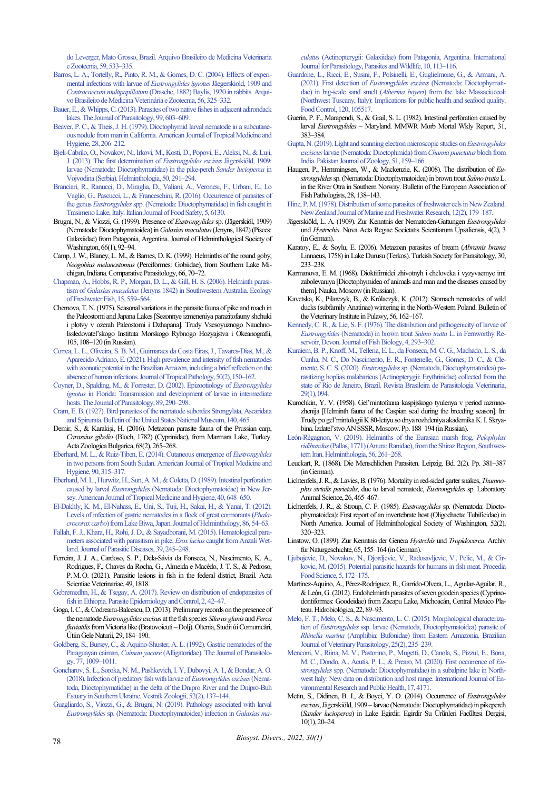do Leverger, Mato Grosso, Brazil. Arquivo Brasileiro de Medicina Veterinaria e Zootecnia, 59, 533–335.

- [Barros, L. A., Tortelly, R., Pinto, R. M., & Gomes, D. C. \(2004\). Effects of experi](http://doi.org/10.1590/S0102-09352004000300007)[mental infections with larvae of](http://doi.org/10.1590/S0102-09352004000300007) *Eustrongylides ignotus*Jäegerskiold, 1909 and *Contracaecum multipapillatum* [\(Drasche, 1882\) Baylis, 1920 in rabbits. Arqui](http://doi.org/10.1590/S0102-09352004000300007)[vo Brasileiro de Medicina Veterinária e Zootecnia, 56, 325–332.](http://doi.org/10.1590/S0102-09352004000300007)
- [Bauer, E., & Whipps, C. \(2013\). Parasites of two native fishes in adjacent adirondack](http://doi.org/10.1645/GE-3218.1)  [lakes. The Journal of Parasitology, 99, 603–609.](http://doi.org/10.1645/GE-3218.1)
- [Beaver, P. C., & Theis, J. H. \(1979\). Dioctophymid larval nematode in a subcutane](http://doi.org/10.4269/ajtmh.1979.28.206)ous nodule from man in California. American Journal of Tropical Medicine and [Hygiene, 28, 206–212.](http://doi.org/10.4269/ajtmh.1979.28.206)
- [Bjeli-Cabrilo, O., Novakov, N., Irkovi, M., Kosti, D., Popovi, E., Aleksi, N., & Luji,](http://doi.org/10.2478/s11687-013-0143-1)  [J. \(2013\). The first determination of](http://doi.org/10.2478/s11687-013-0143-1) *Eustrongylides excisus* Jägerskiöld, 1909: [larvae \(Nematoda: Dioctophymatidae\) in the pike-perch](http://doi.org/10.2478/s11687-013-0143-1) *Sander lucioperca* in [Vojvodina \(Serbia\). Helminthologia, 50, 291–294.](http://doi.org/10.2478/s11687-013-0143-1)
- [Branciari, R., Ranucci, D., Miraglia, D., Valiani, A., Veronesi, F., Urbani,](http://doi.org/10.4081/ijfs.2016.6130) E., Lo [Vaglio, G., Pascucci, L., & Franceschini, R. \(2016\). Occurrence of parasites of](http://doi.org/10.4081/ijfs.2016.6130)  the genus *Eustrongylides*[spp. \(Nematoda: Dioctophymatidae\) in fish caught in](http://doi.org/10.4081/ijfs.2016.6130)  [Trasimeno Lake, Italy. Italian Journal of Food Safety, 5, 6130.](http://doi.org/10.4081/ijfs.2016.6130)
- Brugni, N., & Viozzi, G. (1999). Presence of *Eustrongylides* sp. (Jägerskiöl, 1909) (Nematoda: Dioctophymatoidea) in *Galaxias maculatus*(Jenyns, 1842) (Pisces: Galaxiidae) from Patagonia, Argentina. Journal of Helminthological Society of Washington, 66(1), 92–94.
- Camp, J. W., Blaney, L. M., & Barnes, D. K. (1999). Helminths of the round goby, *Neogobius melanostomus* (Perciformes: Gobiidae), from Southern Lake Michigan, Indiana. Comparative Parasitology, 66, 70–72.
- [Chapman, A., Hobbs, R. P., Morgan, D. L., & Gill, H. S. \(2006\). Helminth parasi](http://doi.org/10.1111/j.1600-0633.2006.00198.x)tism of *Galaxias maculatus* [\(Jenyns 1842\) in Southwestern Australia. Ecology](http://doi.org/10.1111/j.1600-0633.2006.00198.x)  [of Freshwater Fish, 15, 559–564.](http://doi.org/10.1111/j.1600-0633.2006.00198.x)
- Chernova, T. N. (1975). Seasonal variations in the parasite fauna of pike and roach in the Paleostomi and Japana Lakes [Sezonnye izmeneniya parazitofauny shchuki i plotvy v ozerah Paleostomi i Dzhapana]. Trudy Vsesoyuznogo Nauchno-Issledovatel'skogo Instituta Morskogo Rybnogo Hozyajstva i Okeanografii, 105, 108–120 (in Russian).
- [Correa, L. L., Oliveira, S. B. M., Guimaraes da Costa Eiras, J., Tavares-Dias, M., &](http://doi.org/10.5216/rpt.v50i2.67661)  [Aparecido Adriano, E. \(2021\). High prevalence and intensity of fish nematodes](http://doi.org/10.5216/rpt.v50i2.67661)  [with zoonotic potential in the Brazilian Amazon, including a brief reflection on the](http://doi.org/10.5216/rpt.v50i2.67661)  [absence of human infections. Journal of Tropical Pathology, 50\(2\), 150–162.](http://doi.org/10.5216/rpt.v50i2.67661)
- [Coyner, D., Spalding, M., & Forrester, D. \(2002\).](http://doi.org/10.1645/0022-3395(2003)089%5b0290:EOEIIF%5d2.0.CO;2) Epizootiology of *Eustrongylides ignotus* [in Florida: Transmission and development of larvae in intermediate](http://doi.org/10.1645/0022-3395(2003)089%5b0290:EOEIIF%5d2.0.CO;2)  [hosts. The Journal of Parasitology, 89, 290–298.](http://doi.org/10.1645/0022-3395(2003)089%5b0290:EOEIIF%5d2.0.CO;2)
- [Cram, E. B. \(1927\). Bird parasites of the nematode subordes Strongylata, Ascaridata](http://doi.org/10.5479/si.03629236.140.1)  [and Spirurata. Bulletin of the United States National Museum, 140, 465.](http://doi.org/10.5479/si.03629236.140.1)
- Demir, S., & Karakişi, H. (2016). Metazoan parasite fauna of the Prussian carp, *Carassius gibelio* (Bloch, 1782) (Cyprinidae), from Marmara Lake, Turkey. Acta Zoologica Bulgarica, 68(2), 265–268.
- [Eberhard, M. L., & Ruiz-Tiben, E. \(2014\). Cutaneous emergence of](http://doi.org/10.4269/ajtmh.13-0638) *Eustrongylides* [in two persons from South Sudan. American Journal of Tropical Medicine and](http://doi.org/10.4269/ajtmh.13-0638)  [Hygiene, 90, 315–317.](http://doi.org/10.4269/ajtmh.13-0638)
- Eberhard, M. L., Hurwitz, H., Sun, A. M., & Coletta, D. (1989). Intestinal perforation caused by larval *Eustrongylides* [\(Nematoda: Dioctophymatoidae\) in New Jer](http://doi.org/10.4269/ajtmh.1989.40.648)[sey. American Journal of Tropical Medicine and Hygiene, 40, 648–650.](http://doi.org/10.4269/ajtmh.1989.40.648)
- [El-Dakhly, K. M., El-Nahass, E., Uni, S., Tuji, H., Sakai, H., & Yanai, T. \(2012\).](http://doi.org/10.1017/S0022149X11000046)  [Levels of infection of gastric nematodes in a flock of great cormorants \(](http://doi.org/10.1017/S0022149X11000046)*Phalacrocorax carbo*[\) from Lake Biwa, Japan. Journal of Helminthology, 86, 54–63.](http://doi.org/10.1017/S0022149X11000046)
- [Fallah, F. J., Khara, H., Rohi, J. D., & Sayadborani, M. \(2015\). Hematological para](http://doi.org/10.1007/s12639-013-0329-y)[meters associated with parasitism in pike,](http://doi.org/10.1007/s12639-013-0329-y) *Esox lucius* caught from Anzali Wet[land. Journal of Parasitic Diseases, 39, 245–248.](http://doi.org/10.1007/s12639-013-0329-y)
- Ferreira, J. J. A., Cardoso, S. P., Dela-Sávia da Fonseca, N., Nascimento, K. A., Rodrigues, F., Chaves da Rocha, G., Almeida e Macêdo, J. T. S., & Pedroso, P.M.O. (2021). Parasitic lesions in fish in the federal district, Brazil. Acta Scientiae Veterinariae, 49, 1818.

[Gebremedhn, H., & Tsegay, A. \(2017\). Review on distribution of endoparasites of](http://doi.org/10.1016/j.parepi.2017.10.002)  [fish in Ethiopia. Parasite Epidemiology and Control, 2, 42–47.](http://doi.org/10.1016/j.parepi.2017.10.002) 

- Goga, I. C., & Codreanu-Balcescu, D. (2013). Preliminary records on the presence of the nematode *Eustrongylides excisus* at the fish species *Silurus glanis* and *Perca fluviatilis*from Victoria like (Bratovoieuti –Dolj). Oltenia, Studii úi Comunicări, Ùtiin Ġele Naturii, 29, 184–190.
- [Goldberg, S., Bursey, C., & Aquino-Shuster, A. L. \(1992\). Gastric nematodes of the](http://doi.org/10.2307/3282758)  Paraguayan caiman, *Caiman yacare* [\(Alligatoridae\). The Journal of Parasitolo](http://doi.org/10.2307/3282758)[gy, 77, 1009–1011.](http://doi.org/10.2307/3282758)
- [Goncharov, S. L., Soroka, N. M., Pashkevich, I. Y, Dubovyi, A. I., & Bondar, A. O.](http://doi.org/10.2478/vzoo-2018-0015)  [\(2018\). Infection of predatory fish with larvae of](http://doi.org/10.2478/vzoo-2018-0015) *Eustrongylides excisus*(Nema[toda, Dioctophymatidae\) in the delta of the Dnipro River and the Dnipro-Buh](http://doi.org/10.2478/vzoo-2018-0015)  [Estuary in Southern Ukraine. Vestnik Zoologii, 52\(2\), 137–144.](http://doi.org/10.2478/vzoo-2018-0015)
- [Guagliardo, S., Viozzi, G., & Brugni, N. \(2019\). Pathology associated with larval](http://doi.org/10.1016/j.ijppaw.2019.08.004)  *Eustrongylides* [sp. \(Nematoda: Dioctophymatoidea\) infection in](http://doi.org/10.1016/j.ijppaw.2019.08.004) *Galaxias ma-*

*culatus* [\(Actinopterygii: Galaxiidae\) from Patagonia, Argentina. International](http://doi.org/10.1016/j.ijppaw.2019.08.004)  [Journal for Parasitology, Parasites and Wildlife, 10, 113–116.](http://doi.org/10.1016/j.ijppaw.2019.08.004) 

- [Guardone, L., Ricci, E., Susini, F., Polsinelli, E., Guglielmone, G., & Armani, A.](http://doi.org/10.1016/j.foodcont.2020.107517)  (2021). First detection of *Eustrongylides excisus* [\(Nematoda: Dioctophymati](http://doi.org/10.1016/j.foodcont.2020.107517)dae) in big-scale sand smelt (*Atherina boyeri*[\) from the lake Massaciuccoli](http://doi.org/10.1016/j.foodcont.2020.107517)  [\(Northwest Tuscany, Italy\): Implications for public health and seafood quality.](http://doi.org/10.1016/j.foodcont.2020.107517)  [Food Control, 120, 105517.](http://doi.org/10.1016/j.foodcont.2020.107517)
- Guerin, P. F., Marapendi, S., & Grail, S. L. (1982). Intestinal perforation caused by larval *Eustrongylides* – Maryland. MMWR Morb Mortal Wkly Report, 31, 383–384.
- [Gupta, N. \(2019\). Light and scanning electron microscopic studies on](http://doi.org/10.17582/journal.pjz/2019.51.1.159.166) *Eustrongylides exciscus*[larvae \(Nematoda: Dioctophmida\) from](http://doi.org/10.17582/journal.pjz/2019.51.1.159.166) *Channa punctatus* bloch from [India. Pakistan Journal of Zoology, 51, 159–166.](http://doi.org/10.17582/journal.pjz/2019.51.1.159.166)
- Haugen, P., Hemmingsen, W., & Mackenzie, K. (2008). The distribution of *Eustrongylides*sp. (Nematoda: Dioctophymatoidea) in brown trout *Salmo trutta*L. in the River Otra in Southern Norway. Bulletin of the European Association of Fish Pathologists, 28, 138-143.
- [Hine, P. M. \(1978\). Distribution of some parasites of freshwater eels in New Zealand.](http://doi.org/10.1080/00288330.1978.9515739)  [New Zealand Journal of Marine and Freshwater Research, 12\(2\), 179–187.](http://doi.org/10.1080/00288330.1978.9515739)
- Jägerskiöld, L. A. (1909). Zur Kenntnis der Nematoden-Gattungen *Eustrongylides* und *Hystrichis*. Nova Acta Regiae Societatis Scientiarum Upsaliensis, 4(2), 3 (in German).
- Karatoy, E., & Soylu, E. (2006). Metazoan parasites of bream (*Abramis brama* Linnaeus, 1758) in Lake Durusu (Terkos). Turkish Society for Parasitology, 30, 233–238.
- Karmanova, E. M. (1968). Dioktifimidei zhivotnyh i cheloveka i vyzyvaemye imi zabolevaniya [Dioctophymidea of animals and man and the diseases caused by them]. Nauka, Moscow (in Russian).
- Kavetska, K., Pilarczyk, B., & Królaczyk, K. (2012). Stomach nematodes of wild ducks (subfamily Anatinae) wintering in the North-Western Poland. Bulletin of the Veterinary Institute in Pulawy, 56, 162–167.
- [Kennedy, C. R., & Lie, S. F. \(1976\). The distribution and pathogenicity of larvae of](http://doi.org/10.1111/j.1095-8649.1976.tb03952.x)  *Eustrongylides* [\(Nematoda\) in brown trout](http://doi.org/10.1111/j.1095-8649.1976.tb03952.x) *Salmo trutta* L. in Fernworthy Re[servoir, Devon. Journal of Fish Biology, 4, 293–302.](http://doi.org/10.1111/j.1095-8649.1976.tb03952.x)
- [Kuraiem, B. P., Knoff, M., Telleria, E. L., da Fonseca, M. C. G., Machado, L. S., da](http://doi.org/10.1590/S1984-29612019094)  [Cunha, N. C., Do Nascimento, E. R., Fontenelle, G., Gomes, D. C., & Cle](http://doi.org/10.1590/S1984-29612019094)mente, S. C. S. (2020). *Eustrongylides*[sp. \(Nematoda, Dioctophymatoidea\) pa](http://doi.org/10.1590/S1984-29612019094)[rasitizing hoplias malabaricus \(Actinopterygii: Erythrinidae\) collected from the](http://doi.org/10.1590/S1984-29612019094)  [state of Rio de Janeiro, Brazil. Revista Brasileira de Parasitologia Veterinaria,](http://doi.org/10.1590/S1984-29612019094)  [29\(1\), 094.](http://doi.org/10.1590/S1984-29612019094)
- Kurochkin, Y. V. (1958). Gel'mintofauna kaspijskogo tyulenya v period razmnozhenija [Helminth fauna of the Caspian seal during the breeding season]. In: Trudy po gel'mintologii K 80-letiyu so dnya rozhdeniya akademika K. I. Skryabina. Izdatel'stvo AN SSSR, Moscow. Pp. 188–194 (in Russian).
- [León-Règagnon, V. \(2019\). Helminths of the Eurasian marsh frog,](http://doi.org/10.2478/helm-2019-0022) *Pelophylax ridibundus*[\(Pallas, 1771\) \(Anura: Ranidae\), from the Shiraz Region, Southwes](http://doi.org/10.2478/helm-2019-0022)[tern Iran. Helminthologia, 56, 261–268.](http://doi.org/10.2478/helm-2019-0022)
- Leuckart, R. (1868). Die Menschlichen Parasiten. Leipzig. Bd. 2(2). Pp. 381–387 (inGerman).
- Lichtenfels, J. R., & Lavies, B. (1976). Mortality in red-sided garter snakes, *Thamnophis sirtalis parietalis*, due to larval nematode, *Eustrongylides* sp. Laboratory Animal Science, 26, 465–467.
- Lichtenfels, J. R., & Stroup, C. F. (1985). *Eustrongylides* sp. (Nematoda: Dioctophymatoidea): First report of an invertebrate host (Oligochaeta: Tubificidae) in North America. Journal of Helminthological Society of Washington, 52(2), 320–323.
- Linstow, O. (1899). Zur Kenntnis der Genera *Hystrchis* und *Tropidocerca*. Archiv fur Naturgeschichte, 65, 155–164 (in German).
- [Ljubojevic, D., Novakov, N., Djordjevic, V., Radosavljevic, V., Pelic, M., & Cir](http://doi.org/10.1016/j.profoo.2015.09.049)[kovic, M. \(2015\). Potential parasitic hazards for humans in fish meat. Procedia](http://doi.org/10.1016/j.profoo.2015.09.049)  [Food Science, 5, 172–175.](http://doi.org/10.1016/j.profoo.2015.09.049)
- Martínez-Aquino, A., Pérez-Rodríguez, R., Garrido-Olvera, L., Aguilar-Aguilar, R., & León, G. (2012). Endohelminth parasites of seven goodein species (Cyprinodontiformes: Goodeidae) from Zacapu Lake, Michoacán, Central Mexico Plateau. Hidrobiológica, 22, 89–93.
- [Melo, F. T., Melo, C. S., & Nascimento, L. C. \(2015\). Morphological characteriza](http://doi.org/10.1590/S1984-29612016024)tion of *Eustrongylides* [ssp. larvae \(Nematoda, Dioctophymatoidea\) parasite of](http://doi.org/10.1590/S1984-29612016024)  *Rhinella marina* [\(Amphibia: Bufonidae\) from Eastern Amazonia. Brazilian](http://doi.org/10.1590/S1984-29612016024)  [Journal of Veterinary Parasitology, 25\(2\), 235–239.](http://doi.org/10.1590/S1984-29612016024)
- [Menconi, V., Riina, M. V., Pastorino, P., Mugetti, D., Canola, S., Pizzul, E., Bona,](http://doi.org/10.3390/ijerph17114171)  [M. C., Dondo, A., Acutis, P. L., & Prearo, M. \(2020\). First occurrence of](http://doi.org/10.3390/ijerph17114171) *Eustrongylides* [spp. \(Nematoda: Dioctophymatidae\) in a subalpine lake in North](http://doi.org/10.3390/ijerph17114171)[west Italy: New data on distribution and host range. International Journal of En](http://doi.org/10.3390/ijerph17114171)[vironmental Research and Public Health, 17, 4171.](http://doi.org/10.3390/ijerph17114171)
- Metin, S., Didinen, B. I., & Boyci, Y. O. (2014). Occurrence of *Eustrongylides excisus*, Jägerskiöld, 1909 – larvae (Nematoda: Dioctophymatidae) in pikeperch (Sander lucioperca) in Lake Egirdir. Egirdir Su Ürünleri Facültesi Dergisi, 10(1), 20–24.